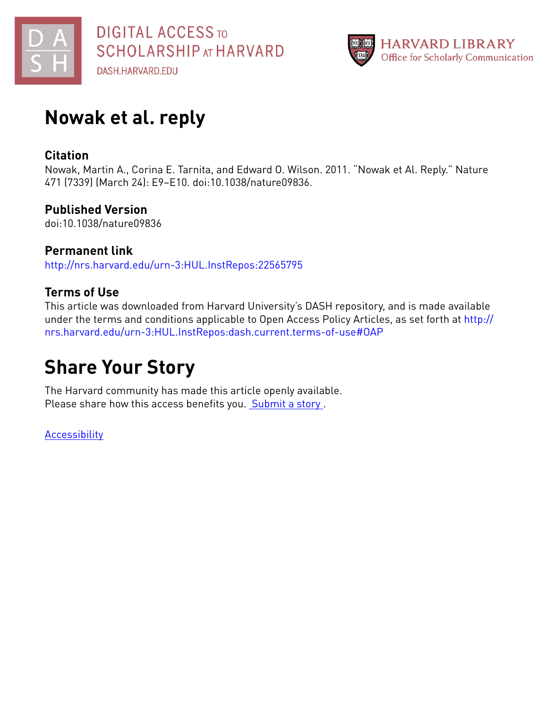



# **Nowak et al. reply**

## **Citation**

Nowak, Martin A., Corina E. Tarnita, and Edward O. Wilson. 2011. "Nowak et Al. Reply." Nature 471 (7339) (March 24): E9–E10. doi:10.1038/nature09836.

### **Published Version**

doi:10.1038/nature09836

**Permanent link** <http://nrs.harvard.edu/urn-3:HUL.InstRepos:22565795>

## **Terms of Use**

This article was downloaded from Harvard University's DASH repository, and is made available under the terms and conditions applicable to Open Access Policy Articles, as set forth at [http://](http://nrs.harvard.edu/urn-3:HUL.InstRepos:dash.current.terms-of-use#OAP) [nrs.harvard.edu/urn-3:HUL.InstRepos:dash.current.terms-of-use#OAP](http://nrs.harvard.edu/urn-3:HUL.InstRepos:dash.current.terms-of-use#OAP)

# **Share Your Story**

The Harvard community has made this article openly available. Please share how this access benefits you. [Submit](http://osc.hul.harvard.edu/dash/open-access-feedback?handle=&title=Nowak%20et%20al.%20reply&community=1/1&collection=1/2&owningCollection1/2&harvardAuthors=376d0dce6206cfe8f87f5dc314ae9372&departmentMathematics) a story.

**[Accessibility](https://dash.harvard.edu/pages/accessibility)**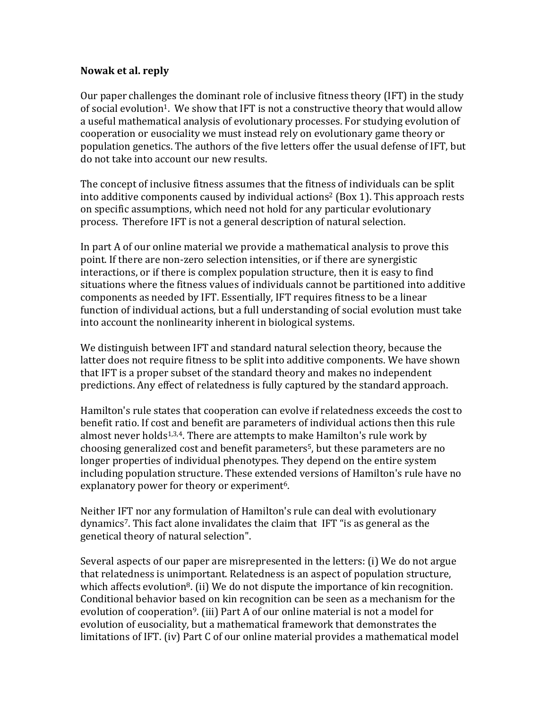### **Nowak et al. reply**

Our paper challenges the dominant role of inclusive fitness theory (IFT) in the study of social evolution<sup>1</sup>. We show that IFT is not a constructive theory that would allow a useful mathematical analysis of evolutionary processes. For studying evolution of cooperation or eusociality we must instead rely on evolutionary game theory or population genetics. The authors of the five letters offer the usual defense of IFT, but do not take into account our new results.

The concept of inclusive fitness assumes that the fitness of individuals can be split into additive components caused by individual actions<sup>2</sup> (Box 1). This approach rests on specific assumptions, which need not hold for any particular evolutionary process. Therefore IFT is not a general description of natural selection.

In part A of our online material we provide a mathematical analysis to prove this point. If there are non-zero selection intensities, or if there are synergistic interactions, or if there is complex population structure, then it is easy to find situations where the fitness values of individuals cannot be partitioned into additive components as needed by IFT. Essentially, IFT requires fitness to be a linear function of individual actions, but a full understanding of social evolution must take into account the nonlinearity inherent in biological systems.

We distinguish between IFT and standard natural selection theory, because the latter does not require fitness to be split into additive components. We have shown that IFT is a proper subset of the standard theory and makes no independent predictions. Any effect of relatedness is fully captured by the standard approach.

Hamilton's rule states that cooperation can evolve if relatedness exceeds the cost to benefit ratio. If cost and benefit are parameters of individual actions then this rule almost never holds<sup>1,3,4</sup>. There are attempts to make Hamilton's rule work by choosing generalized cost and benefit parameters<sup>5</sup>, but these parameters are no longer properties of individual phenotypes. They depend on the entire system including population structure. These extended versions of Hamilton's rule have no explanatory power for theory or experiment<sup>6</sup>.

Neither IFT nor any formulation of Hamilton's rule can deal with evolutionary dynamics7. This fact alone invalidates the claim that IFT "is as general as the genetical theory of natural selection".

Several aspects of our paper are misrepresented in the letters: (i) We do not argue that relatedness is unimportant. Relatedness is an aspect of population structure, which affects evolution<sup>8</sup>. (ii) We do not dispute the importance of kin recognition. Conditional behavior based on kin recognition can be seen as a mechanism for the evolution of cooperation<sup>9</sup>. (iii) Part A of our online material is not a model for evolution of eusociality, but a mathematical framework that demonstrates the limitations of IFT. (iv) Part C of our online material provides a mathematical model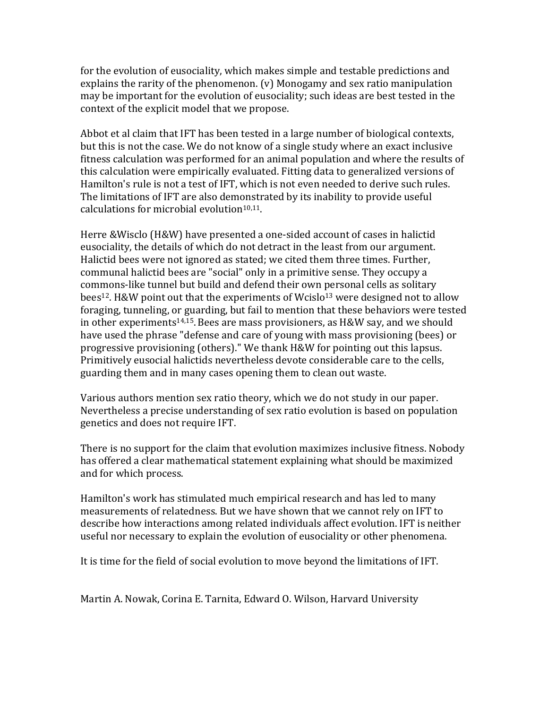for the evolution of eusociality, which makes simple and testable predictions and explains the rarity of the phenomenon. (v) Monogamy and sex ratio manipulation may be important for the evolution of eusociality; such ideas are best tested in the context of the explicit model that we propose.

Abbot et al claim that IFT has been tested in a large number of biological contexts, but this is not the case. We do not know of a single study where an exact inclusive fitness calculation was performed for an animal population and where the results of this calculation were empirically evaluated. Fitting data to generalized versions of Hamilton's rule is not a test of IFT, which is not even needed to derive such rules. The limitations of IFT are also demonstrated by its inability to provide useful calculations for microbial evolution<sup>10,11</sup>.

Herre &Wisclo (H&W) have presented a one-sided account of cases in halictid eusociality, the details of which do not detract in the least from our argument. Halictid bees were not ignored as stated; we cited them three times. Further, communal halictid bees are "social" only in a primitive sense. They occupy a commons-like tunnel but build and defend their own personal cells as solitary bees<sup>12</sup>. H&W point out that the experiments of Wcislo<sup>13</sup> were designed not to allow foraging, tunneling, or guarding, but fail to mention that these behaviors were tested in other experiments14,15.Bees are mass provisioners, as H&W say, and we should have used the phrase "defense and care of young with mass provisioning (bees) or progressive provisioning (others)." We thank H&W for pointing out this lapsus. Primitively eusocial halictids nevertheless devote considerable care to the cells, guarding them and in many cases opening them to clean out waste.

Various authors mention sex ratio theory, which we do not study in our paper. Nevertheless a precise understanding of sex ratio evolution is based on population genetics and does not require IFT.

There is no support for the claim that evolution maximizes inclusive fitness. Nobody has offered a clear mathematical statement explaining what should be maximized and for which process.

Hamilton's work has stimulated much empirical research and has led to many measurements of relatedness. But we have shown that we cannot rely on IFT to describe how interactions among related individuals affect evolution. IFT is neither useful nor necessary to explain the evolution of eusociality or other phenomena.

It is time for the field of social evolution to move beyond the limitations of IFT.

Martin A. Nowak, Corina E. Tarnita, Edward O. Wilson, Harvard University